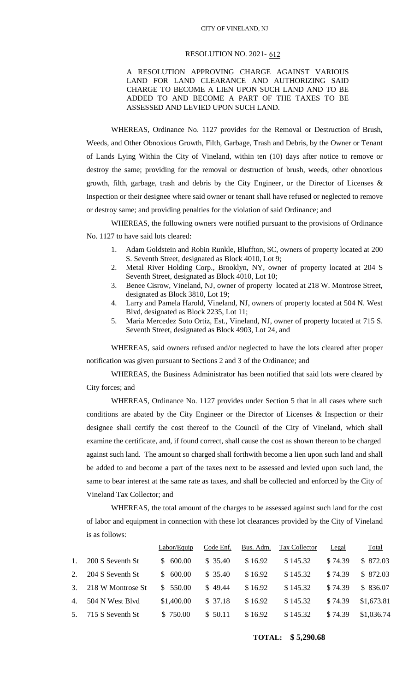## CITY OF VINELAND, NJ

## RESOLUTION NO. 2021- 612

## A RESOLUTION APPROVING CHARGE AGAINST VARIOUS LAND FOR LAND CLEARANCE AND AUTHORIZING SAID CHARGE TO BECOME A LIEN UPON SUCH LAND AND TO BE ADDED TO AND BECOME A PART OF THE TAXES TO BE ASSESSED AND LEVIED UPON SUCH LAND.

WHEREAS, Ordinance No. 1127 provides for the Removal or Destruction of Brush, Weeds, and Other Obnoxious Growth, Filth, Garbage, Trash and Debris, by the Owner or Tenant of Lands Lying Within the City of Vineland, within ten (10) days after notice to remove or destroy the same; providing for the removal or destruction of brush, weeds, other obnoxious growth, filth, garbage, trash and debris by the City Engineer, or the Director of Licenses  $\&$ Inspection or their designee where said owner or tenant shall have refused or neglected to remove or destroy same; and providing penalties for the violation of said Ordinance; and

WHEREAS, the following owners were notified pursuant to the provisions of Ordinance No. 1127 to have said lots cleared:

- 1. Adam Goldstein and Robin Runkle, Bluffton, SC, owners of property located at 200 S. Seventh Street, designated as Block 4010, Lot 9;
- 2. Metal River Holding Corp., Brooklyn, NY, owner of property located at 204 S Seventh Street, designated as Block 4010, Lot 10;
- 3. Benee Cisrow, Vineland, NJ, owner of property located at 218 W. Montrose Street, designated as Block 3810, Lot 19;
- 4. Larry and Pamela Harold, Vineland, NJ, owners of property located at 504 N. West Blvd, designated as Block 2235, Lot 11;
- 5. Maria Mercedez Soto Ortiz, Est., Vineland, NJ, owner of property located at 715 S. Seventh Street, designated as Block 4903, Lot 24, and

WHEREAS, said owners refused and/or neglected to have the lots cleared after proper notification was given pursuant to Sections 2 and 3 of the Ordinance; and

WHEREAS, the Business Administrator has been notified that said lots were cleared by City forces; and

WHEREAS, Ordinance No. 1127 provides under Section 5 that in all cases where such conditions are abated by the City Engineer or the Director of Licenses & Inspection or their designee shall certify the cost thereof to the Council of the City of Vineland, which shall examine the certificate, and, if found correct, shall cause the cost as shown thereon to be charged against such land. The amount so charged shall forthwith become a lien upon such land and shall be added to and become a part of the taxes next to be assessed and levied upon such land, the same to bear interest at the same rate as taxes, and shall be collected and enforced by the City of Vineland Tax Collector; and

WHEREAS, the total amount of the charges to be assessed against such land for the cost of labor and equipment in connection with these lot clearances provided by the City of Vineland is as follows:

|                |                   | Labor/Equip | Code Enf. | Bus. Adm. | Tax Collector | Legal   | Total      |
|----------------|-------------------|-------------|-----------|-----------|---------------|---------|------------|
| $\mathbf{1}$ . | 200 S Seventh St  | \$600.00    | \$35.40   | \$16.92   | \$145.32      | \$74.39 | \$872.03   |
| 2.             | 204 S Seventh St  | \$600.00    | \$35.40   | \$16.92   | \$145.32      | \$74.39 | \$872.03   |
| 3.             | 218 W Montrose St | \$550.00    | \$49.44   | \$16.92   | \$145.32      | \$74.39 | \$836.07   |
| 4.             | 504 N West Blyd   | \$1,400.00  | \$37.18   | \$16.92   | \$145.32      | \$74.39 | \$1,673.81 |
| 5.             | 715 S Seventh St  | \$750.00    | \$50.11   | \$16.92   | \$145.32      | \$74.39 | \$1,036.74 |

## **TOTAL: \$ 5,290.68**